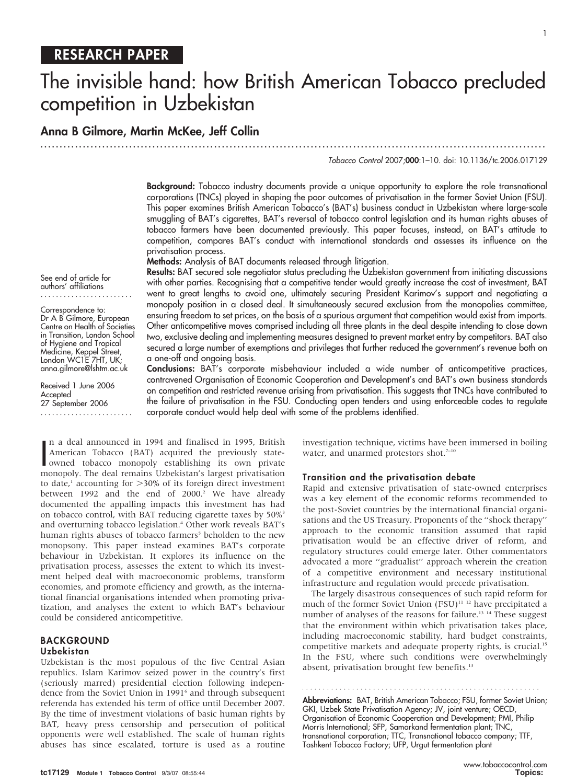# The invisible hand: how British American Tobacco precluded competition in Uzbekistan

............................................................................................................................... ....

# Anna B Gilmore, Martin McKee, Jeff Collin

# Tobacco Control 2007;000:1–10. doi: 10.1136/tc.2006.017129

Background: Tobacco industry documents provide a unique opportunity to explore the role transnational corporations (TNCs) played in shaping the poor outcomes of privatisation in the former Soviet Union (FSU). This paper examines British American Tobacco's (BAT's) business conduct in Uzbekistan where large-scale smuggling of BAT's cigarettes, BAT's reversal of tobacco control legislation and its human rights abuses of tobacco farmers have been documented previously. This paper focuses, instead, on BAT's attitude to competition, compares BAT's conduct with international standards and assesses its influence on the privatisation process.

Methods: Analysis of BAT documents released through litigation.

Results: BAT secured sole negotiator status precluding the Uzbekistan government from initiating discussions with other parties. Recognising that a competitive tender would greatly increase the cost of investment, BAT went to great lengths to avoid one, ultimately securing President Karimov's support and negotiating a monopoly position in a closed deal. It simultaneously secured exclusion from the monopolies committee, ensuring freedom to set prices, on the basis of a spurious argument that competition would exist from imports. Other anticompetitive moves comprised including all three plants in the deal despite intending to close down two, exclusive dealing and implementing measures designed to prevent market entry by competitors. BAT also secured a large number of exemptions and privileges that further reduced the government's revenue both on a one-off and ongoing basis.

Conclusions: BAT's corporate misbehaviour included a wide number of anticompetitive practices, contravened Organisation of Economic Cooperation and Development's and BAT's own business standards on competition and restricted revenue arising from privatisation. This suggests that TNCs have contributed to the failure of privatisation in the FSU. Conducting open tenders and using enforceable codes to regulate corporate conduct would help deal with some of the problems identified.

n a deal announced in 1994 and finalised in 1995, British<br>American Tobacco (BAT) acquired the previously state-<br>owned tobacco monopoly establishing its own private<br>monopoly The deal remains Uzbekistan's largest privaticati n a deal announced in 1994 and finalised in 1995, British American Tobacco (BAT) acquired the previously statemonopoly. The deal remains Uzbekistan's largest privatisation to date, $\frac{1}{2}$  accounting for  $>$ 30% of its foreign direct investment between 1992 and the end of 2000.<sup>2</sup> We have already documented the appalling impacts this investment has had on tobacco control, with BAT reducing cigarette taxes by 50%<sup>3</sup> and overturning tobacco legislation.4 Other work reveals BAT's human rights abuses of tobacco farmers<sup>5</sup> beholden to the new monopsony. This paper instead examines BAT's corporate behaviour in Uzbekistan. It explores its influence on the privatisation process, assesses the extent to which its investment helped deal with macroeconomic problems, transform economies, and promote efficiency and growth, as the international financial organisations intended when promoting privatization, and analyses the extent to which BAT's behaviour could be considered anticompetitive.

# **BACKGROUND**

# Uzbekistan

Uzbekistan is the most populous of the five Central Asian republics. Islam Karimov seized power in the country's first (seriously marred) presidential election following independence from the Soviet Union in 1991<sup>6</sup> and through subsequent referenda has extended his term of office until December 2007. By the time of investment violations of basic human rights by BAT, heavy press censorship and persecution of political opponents were well established. The scale of human rights abuses has since escalated, torture is used as a routine investigation technique, victims have been immersed in boiling water, and unarmed protestors shot. $7-10$ 

# Transition and the privatisation debate

Rapid and extensive privatisation of state-owned enterprises was a key element of the economic reforms recommended to the post-Soviet countries by the international financial organisations and the US Treasury. Proponents of the ''shock therapy'' approach to the economic transition assumed that rapid privatisation would be an effective driver of reform, and regulatory structures could emerge later. Other commentators advocated a more ''gradualist'' approach wherein the creation of a competitive environment and necessary institutional infrastructure and regulation would precede privatisation.

The largely disastrous consequences of such rapid reform for much of the former Soviet Union (FSU)<sup>11-12</sup> have precipitated a number of analyses of the reasons for failure.<sup>13 14</sup> These suggest that the environment within which privatisation takes place, including macroeconomic stability, hard budget constraints, competitive markets and adequate property rights, is crucial.<sup>15</sup> In the FSU, where such conditions were overwhelmingly absent, privatisation brought few benefits.<sup>13</sup>

Abbreviations: BAT, British American Tobacco; FSU, former Soviet Union; GKI, Uzbek State Privatisation Agency; JV, joint venture; OECD, Organisation of Economic Cooperation and Development; PMI, Philip

Morris International; SFP, Samarkand fermentation plant; TNC, transnational corporation; TTC, Transnational tobacco company; TTF, Tashkent Tobacco Factory; UFP, Urgut fermentation plant

See end of article for authors' affiliations ........................

Correspondence to: Dr A B Gilmore, European Centre on Health of Societies in Transition, London School of Hygiene and Tropical Medicine, Keppel Street, London WC1E 7HT, UK; anna.gilmore@lshtm.ac.uk

Received 1 June 2006 Accepted 27 September 2006 ........................ 1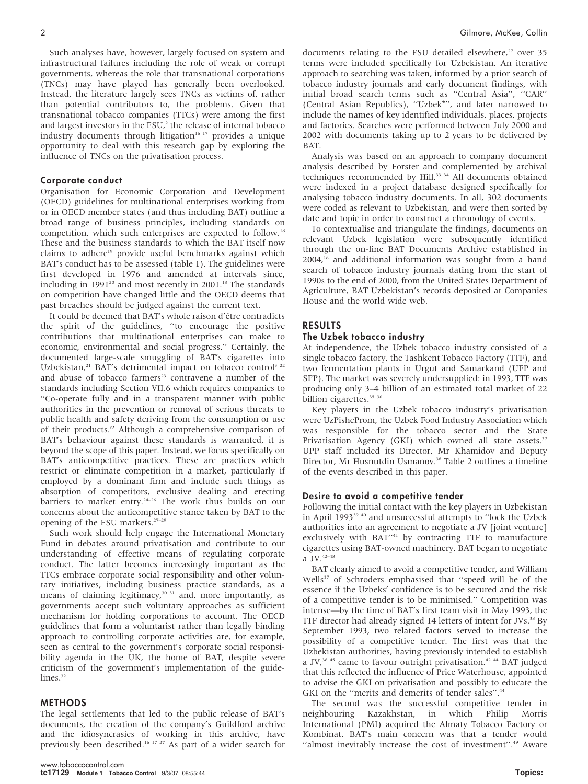Such analyses have, however, largely focused on system and infrastructural failures including the role of weak or corrupt governments, whereas the role that transnational corporations (TNCs) may have played has generally been overlooked. Instead, the literature largely sees TNCs as victims of, rather than potential contributors to, the problems. Given that transnational tobacco companies (TTCs) were among the first and largest investors in the FSU,<sup>2</sup> the release of internal tobacco industry documents through litigation<sup>16 17</sup> provides a unique opportunity to deal with this research gap by exploring the influence of TNCs on the privatisation process.

#### Corporate conduct

Organisation for Economic Corporation and Development (OECD) guidelines for multinational enterprises working from or in OECD member states (and thus including BAT) outline a broad range of business principles, including standards on competition, which such enterprises are expected to follow.18 These and the business standards to which the BAT itself now claims to adhere<sup>19</sup> provide useful benchmarks against which BAT's conduct has to be assessed (table 1). The guidelines were first developed in 1976 and amended at intervals since, including in 1991 $^{20}$  and most recently in 2001.<sup>18</sup> The standards on competition have changed little and the OECD deems that past breaches should be judged against the current text.

It could be deemed that BAT's whole raison d'être contradicts the spirit of the guidelines, ''to encourage the positive contributions that multinational enterprises can make to economic, environmental and social progress.'' Certainly, the documented large-scale smuggling of BAT's cigarettes into Uzbekistan,<sup>21</sup> BAT's detrimental impact on tobacco control<sup>3</sup><sup>22</sup> and abuse of tobacco farmers<sup>23</sup> contravene a number of the standards including Section VII.6 which requires companies to ''Co-operate fully and in a transparent manner with public authorities in the prevention or removal of serious threats to public health and safety deriving from the consumption or use of their products.'' Although a comprehensive comparison of BAT's behaviour against these standards is warranted, it is beyond the scope of this paper. Instead, we focus specifically on BAT's anticompetitive practices. These are practices which restrict or eliminate competition in a market, particularly if employed by a dominant firm and include such things as absorption of competitors, exclusive dealing and erecting barriers to market entry.<sup>24-26</sup> The work thus builds on our concerns about the anticompetitive stance taken by BAT to the opening of the FSU markets.27–29

Such work should help engage the International Monetary Fund in debates around privatisation and contribute to our understanding of effective means of regulating corporate conduct. The latter becomes increasingly important as the TTCs embrace corporate social responsibility and other voluntary initiatives, including business practice standards, as a means of claiming legitimacy,<sup>30 31</sup> and, more importantly, as governments accept such voluntary approaches as sufficient mechanism for holding corporations to account. The OECD guidelines that form a voluntarist rather than legally binding approach to controlling corporate activities are, for example, seen as central to the government's corporate social responsibility agenda in the UK, the home of BAT, despite severe criticism of the government's implementation of the guidelines.<sup>32</sup>

## METHODS

The legal settlements that led to the public release of BAT's documents, the creation of the company's Guildford archive and the idiosyncrasies of working in this archive, have previously been described.16 17 27 As part of a wider search for documents relating to the FSU detailed elsewhere.<sup>27</sup> over 35 terms were included specifically for Uzbekistan. An iterative approach to searching was taken, informed by a prior search of tobacco industry journals and early document findings, with initial broad search terms such as ''Central Asia'', ''CAR'' (Central Asian Republics), ''Uzbek\*'', and later narrowed to include the names of key identified individuals, places, projects and factories. Searches were performed between July 2000 and 2002 with documents taking up to 2 years to be delivered by BAT.

Analysis was based on an approach to company document analysis described by Forster and complemented by archival techniques recommended by Hill.<sup>33 34</sup> All documents obtained were indexed in a project database designed specifically for analysing tobacco industry documents. In all, 302 documents were coded as relevant to Uzbekistan, and were then sorted by date and topic in order to construct a chronology of events.

To contextualise and triangulate the findings, documents on relevant Uzbek legislation were subsequently identified through the on-line BAT Documents Archive established in 2004,<sup>16</sup> and additional information was sought from a hand search of tobacco industry journals dating from the start of 1990s to the end of 2000, from the United States Department of Agriculture, BAT Uzbekistan's records deposited at Companies House and the world wide web.

#### RESULTS

#### The Uzbek tobacco industry

At independence, the Uzbek tobacco industry consisted of a single tobacco factory, the Tashkent Tobacco Factory (TTF), and two fermentation plants in Urgut and Samarkand (UFP and SFP). The market was severely undersupplied: in 1993, TTF was producing only 3–4 billion of an estimated total market of 22 billion cigarettes.<sup>35</sup> 36</sup>

Key players in the Uzbek tobacco industry's privatisation were UzPisheProm, the Uzbek Food Industry Association which was responsible for the tobacco sector and the State Privatisation Agency (GKI) which owned all state assets.<sup>37</sup> UPP staff included its Director, Mr Khamidov and Deputy Director, Mr Husnutdin Usmanov.<sup>38</sup> Table 2 outlines a timeline of the events described in this paper.

#### Desire to avoid a competitive tender

Following the initial contact with the key players in Uzbekistan in April 1993<sup>39 40</sup> and unsuccessful attempts to "lock the Uzbek authorities into an agreement to negotiate a JV [joint venture] exclusively with BAT"<sup>41</sup> by contracting TTF to manufacture cigarettes using BAT-owned machinery, BAT began to negotiate a JV.42–48

BAT clearly aimed to avoid a competitive tender, and William Wells<sup>37</sup> of Schroders emphasised that "speed will be of the essence if the Uzbeks' confidence is to be secured and the risk of a competitive tender is to be minimised.'' Competition was intense—by the time of BAT's first team visit in May 1993, the TTF director had already signed 14 letters of intent for JVs.<sup>38</sup> By September 1993, two related factors served to increase the possibility of a competitive tender. The first was that the Uzbekistan authorities, having previously intended to establish a JV,<sup>38 45</sup> came to favour outright privatisation.<sup>42 44</sup> BAT judged that this reflected the influence of Price Waterhouse, appointed to advise the GKI on privatisation and possibly to educate the GKI on the "merits and demerits of tender sales".<sup>44</sup>

The second was the successful competitive tender in neighbouring Kazakhstan, in which Philip Morris International (PMI) acquired the Almaty Tobacco Factory or Kombinat. BAT's main concern was that a tender would "almost inevitably increase the cost of investment".<sup>49</sup> Aware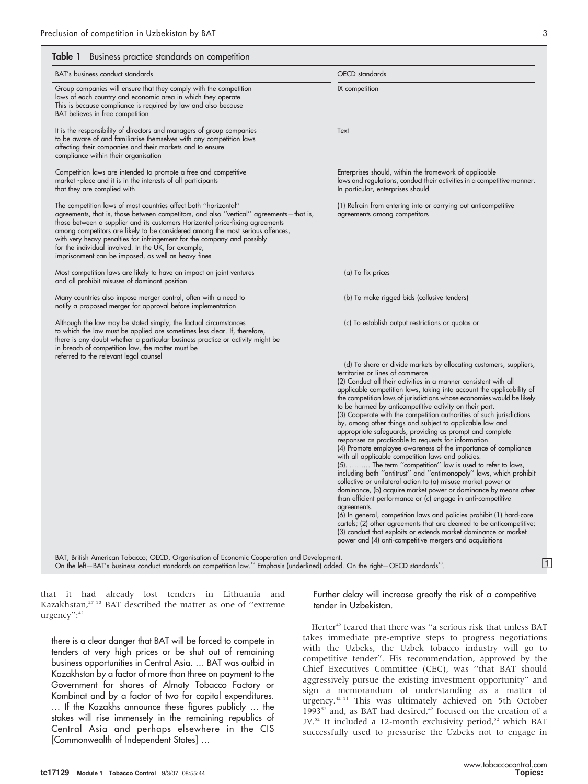| BAT's business conduct standards                                                                                                                                                                                                                                                                                                                                                                                                                                                                                        | OECD standards                                                                                                                                                                                                                                                                                                                                                                                                                                                                                                                                                                                                                                                                                                                                                                                                                                                                                                                                                                                                                                                                                                                                                                                                                                                                                                                                                                                                |
|-------------------------------------------------------------------------------------------------------------------------------------------------------------------------------------------------------------------------------------------------------------------------------------------------------------------------------------------------------------------------------------------------------------------------------------------------------------------------------------------------------------------------|---------------------------------------------------------------------------------------------------------------------------------------------------------------------------------------------------------------------------------------------------------------------------------------------------------------------------------------------------------------------------------------------------------------------------------------------------------------------------------------------------------------------------------------------------------------------------------------------------------------------------------------------------------------------------------------------------------------------------------------------------------------------------------------------------------------------------------------------------------------------------------------------------------------------------------------------------------------------------------------------------------------------------------------------------------------------------------------------------------------------------------------------------------------------------------------------------------------------------------------------------------------------------------------------------------------------------------------------------------------------------------------------------------------|
| Group companies will ensure that they comply with the competition<br>laws of each country and economic area in which they operate.<br>This is because compliance is required by law and also because<br>BAT believes in free competition                                                                                                                                                                                                                                                                                | IX competition                                                                                                                                                                                                                                                                                                                                                                                                                                                                                                                                                                                                                                                                                                                                                                                                                                                                                                                                                                                                                                                                                                                                                                                                                                                                                                                                                                                                |
| It is the responsibility of directors and managers of group companies<br>to be aware of and familiarise themselves with any competition laws<br>affecting their companies and their markets and to ensure<br>compliance within their organisation                                                                                                                                                                                                                                                                       | Text                                                                                                                                                                                                                                                                                                                                                                                                                                                                                                                                                                                                                                                                                                                                                                                                                                                                                                                                                                                                                                                                                                                                                                                                                                                                                                                                                                                                          |
| Competition laws are intended to promote a free and competitive<br>market -place and it is in the interests of all participants<br>that they are complied with                                                                                                                                                                                                                                                                                                                                                          | Enterprises should, within the framework of applicable<br>laws and regulations, conduct their activities in a competitive manner.<br>In particular, enterprises should                                                                                                                                                                                                                                                                                                                                                                                                                                                                                                                                                                                                                                                                                                                                                                                                                                                                                                                                                                                                                                                                                                                                                                                                                                        |
| The competition laws of most countries affect both "horizontal"<br>agreements, that is, those between competitors, and also "vertical" agreements-that is,<br>those between a supplier and its customers Horizontal price-fixing agreements<br>among competitors are likely to be considered among the most serious offences,<br>with very heavy penalties for infringement for the company and possibly<br>for the individual involved. In the UK, for example,<br>imprisonment can be imposed, as well as heavy fines | (1) Refrain from entering into or carrying out anticompetitive<br>agreements among competitors                                                                                                                                                                                                                                                                                                                                                                                                                                                                                                                                                                                                                                                                                                                                                                                                                                                                                                                                                                                                                                                                                                                                                                                                                                                                                                                |
| Most competition laws are likely to have an impact on joint ventures<br>and all prohibit misuses of dominant position                                                                                                                                                                                                                                                                                                                                                                                                   | (a) To fix prices                                                                                                                                                                                                                                                                                                                                                                                                                                                                                                                                                                                                                                                                                                                                                                                                                                                                                                                                                                                                                                                                                                                                                                                                                                                                                                                                                                                             |
| Many countries also impose merger control, often with a need to<br>notify a proposed merger for approval before implementation                                                                                                                                                                                                                                                                                                                                                                                          | (b) To make rigged bids (collusive tenders)                                                                                                                                                                                                                                                                                                                                                                                                                                                                                                                                                                                                                                                                                                                                                                                                                                                                                                                                                                                                                                                                                                                                                                                                                                                                                                                                                                   |
| Although the law may be stated simply, the factual circumstances<br>to which the law must be applied are sometimes less clear. If, therefore,<br>there is any doubt whether a particular business practice or activity might be<br>in breach of competition law, the matter must be<br>referred to the relevant legal counsel                                                                                                                                                                                           | (c) To establish output restrictions or quotas or                                                                                                                                                                                                                                                                                                                                                                                                                                                                                                                                                                                                                                                                                                                                                                                                                                                                                                                                                                                                                                                                                                                                                                                                                                                                                                                                                             |
|                                                                                                                                                                                                                                                                                                                                                                                                                                                                                                                         | (d) To share or divide markets by allocating customers, suppliers,<br>territories or lines of commerce<br>(2) Conduct all their activities in a manner consistent with all<br>applicable competition laws, taking into account the applicability of<br>the competition laws of jurisdictions whose economies would be likely<br>to be harmed by anticompetitive activity on their part.<br>(3) Cooperate with the competition authorities of such jurisdictions<br>by, among other things and subject to applicable law and<br>appropriate safeguards, providing as prompt and complete<br>responses as practicable to requests for information.<br>(4) Promote employee awareness of the importance of compliance<br>with all applicable competition laws and policies.<br>(5).  The term "competition" law is used to refer to laws,<br>including both "antitrust" and "antimonopoly" laws, which prohibit<br>collective or unilateral action to (a) misuse market power or<br>dominance, (b) acquire market power or dominance by means other<br>than efficient performance or (c) engage in anti-competitive<br>agreements.<br>(6) In general, competition laws and policies prohibit (1) hard-core<br>cartels; (2) other agreements that are deemed to be anticompetitive;<br>(3) conduct that exploits or extends market dominance or market<br>power and (4) anti-competitive mergers and acquisitions |

On the left-BAT's business conduct standards on competition law.<sup>19</sup> Emphasis (underlined) added. On the right-OECD standards<sup>1</sup>

that it had already lost tenders in Lithuania and Kazakhstan,<sup>27 50</sup> BAT described the matter as one of "extreme urgency":42

there is a clear danger that BAT will be forced to compete in tenders at very high prices or be shut out of remaining business opportunities in Central Asia. … BAT was outbid in Kazakhstan by a factor of more than three on payment to the Government for shares of Almaty Tobacco Factory or Kombinat and by a factor of two for capital expenditures. … If the Kazakhs announce these figures publicly … the stakes will rise immensely in the remaining republics of Central Asia and perhaps elsewhere in the CIS [Commonwealth of Independent States] …

Further delay will increase greatly the risk of a competitive tender in Uzbekistan.

Herter<sup>42</sup> feared that there was "a serious risk that unless BAT takes immediate pre-emptive steps to progress negotiations with the Uzbeks, the Uzbek tobacco industry will go to competitive tender''. His recommendation, approved by the Chief Executives Committee (CEC), was ''that BAT should aggressively pursue the existing investment opportunity'' and sign a memorandum of understanding as a matter of urgency.<sup>42 51</sup> This was ultimately achieved on 5th October 1993<sup>52</sup> and, as BAT had desired, $42$  focused on the creation of a JV.<sup>52</sup> It included a 12-month exclusivity period,<sup>52</sup> which BAT successfully used to pressurise the Uzbeks not to engage in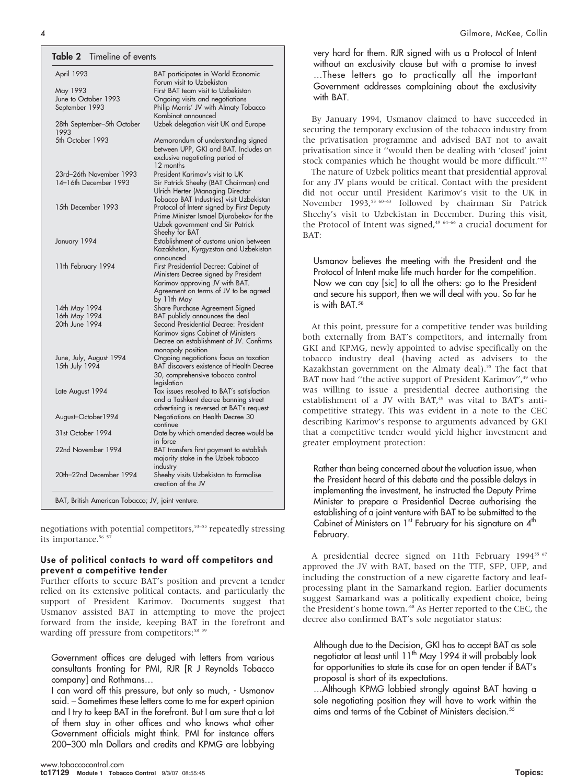| April 1993                                | <b>BAT</b> participates in World Economic<br>Forum visit to Uzbekistan                                                                                   |
|-------------------------------------------|----------------------------------------------------------------------------------------------------------------------------------------------------------|
| May 1993                                  | First BAT team visit to Uzbekistan                                                                                                                       |
| June to October 1993                      | Ongoing visits and negotiations                                                                                                                          |
| September 1993                            | Philip Morris' JV with Almaty Tobacco<br>Kombinat announced                                                                                              |
| 28th September–5th October<br>1993        | Uzbek delegation visit UK and Europe                                                                                                                     |
| 5th October 1993                          | Memorandum of understanding signed<br>between UPP, GKI and BAT. Includes an<br>exclusive negotiating period of<br>12 months                              |
| 23rd-26th November 1993                   | President Karimov's visit to UK                                                                                                                          |
| 14-16th December 1993                     | Sir Patrick Sheehy (BAT Chairman) and<br>Ulrich Herter (Managing Director<br>Tobacco BAT Industries) visit Uzbekistan                                    |
| 15th December 1993                        | Protocol of Intent signed by First Deputy<br>Prime Minister Ismael Djurabekov for the<br>Uzbek government and Sir Patrick<br>Sheehy for BAT              |
| January 1994                              | Establishment of customs union between<br>Kazakhstan, Kyrgyzstan and Uzbekistan<br>announced                                                             |
| 11th February 1994                        | First Presidential Decree: Cabinet of<br>Ministers Decree signed by President<br>Karimov approving JV with BAT.<br>Agreement on terms of JV to be agreed |
|                                           | by 11th May                                                                                                                                              |
| 14th May 1994<br>16th May 1994            | Share Purchase Agreement Signed<br>BAT publicly announces the deal                                                                                       |
| 20th June 1994                            | Second Presidential Decree: President<br>Karimov signs Cabinet of Ministers<br>Decree on establishment of JV. Confirms<br>monopoly position              |
| June, July, August 1994<br>15th July 1994 | Ongoing negotiations focus on taxation<br><b>BAT discovers existence of Health Decree</b>                                                                |
|                                           | 30, comprehensive tobacco control<br>legislation                                                                                                         |
| Late August 1994                          | Tax issues resolved to BAT's satisfaction<br>and a Tashkent decree banning street                                                                        |
| August-October1994                        | advertising is reversed at BAT's request<br>Negotiations on Health Decree 30                                                                             |
| 31st October 1994                         | continue<br>Date by which amended decree would be<br>in force                                                                                            |
| 22nd November 1994                        | BAT transfers first payment to establish<br>majority stake in the Uzbek tobacco                                                                          |
| 20th-22nd December 1994                   | industry<br>Sheehy visits Uzbekistan to formalise<br>creation of the JV                                                                                  |

negotiations with potential competitors,<sup>53-55</sup> repeatedly stressing its importance.<sup>56</sup> 57

# Use of political contacts to ward off competitors and prevent a competitive tender

Further efforts to secure BAT's position and prevent a tender relied on its extensive political contacts, and particularly the support of President Karimov. Documents suggest that Usmanov assisted BAT in attempting to move the project forward from the inside, keeping BAT in the forefront and warding off pressure from competitors:<sup>58 5</sup>

Government offices are deluged with letters from various consultants fronting for PMI, RJR [R J Reynolds Tobacco company] and Rothmans…

I can ward off this pressure, but only so much, - Usmanov said. – Sometimes these letters come to me for expert opinion and I try to keep BAT in the forefront. But I am sure that a lot of them stay in other offices and who knows what other Government officials might think. PMI for instance offers 200–300 mln Dollars and credits and KPMG are lobbying very hard for them. RJR signed with us a Protocol of Intent without an exclusivity clause but with a promise to invest …These letters go to practically all the important Government addresses complaining about the exclusivity with BAT.

By January 1994, Usmanov claimed to have succeeded in securing the temporary exclusion of the tobacco industry from the privatisation programme and advised BAT not to await privatisation since it ''would then be dealing with 'closed' joint stock companies which he thought would be more difficult.''57

The nature of Uzbek politics meant that presidential approval for any JV plans would be critical. Contact with the president did not occur until President Karimov's visit to the UK in November 1993,<sup>53 60–63</sup> followed by chairman Sir Patrick Sheehy's visit to Uzbekistan in December. During this visit, the Protocol of Intent was signed, $49.64-66$  a crucial document for BAT:

Usmanov believes the meeting with the President and the Protocol of Intent make life much harder for the competition. Now we can cay [sic] to all the others: go to the President and secure his support, then we will deal with you. So far he is with BAT.<sup>58</sup>

At this point, pressure for a competitive tender was building both externally from BAT's competitors, and internally from GKI and KPMG, newly appointed to advise specifically on the tobacco industry deal (having acted as advisers to the Kazakhstan government on the Almaty deal).<sup>55</sup> The fact that BAT now had "the active support of President Karimov",<sup>49</sup> who was willing to issue a presidential decree authorising the establishment of a JV with BAT,<sup>49</sup> was vital to BAT's anticompetitive strategy. This was evident in a note to the CEC describing Karimov's response to arguments advanced by GKI that a competitive tender would yield higher investment and greater employment protection:

Rather than being concerned about the valuation issue, when the President heard of this debate and the possible delays in implementing the investment, he instructed the Deputy Prime Minister to prepare a Presidential Decree authorising the establishing of a joint venture with BAT to be submitted to the Cabinet of Ministers on  $1<sup>st</sup>$  February for his signature on  $4<sup>th</sup>$ February.

A presidential decree signed on 11th February 1994<sup>55 67</sup> approved the JV with BAT, based on the TTF, SFP, UFP, and including the construction of a new cigarette factory and leafprocessing plant in the Samarkand region. Earlier documents suggest Samarkand was a politically expedient choice, being the President's home town.<sup>68</sup> As Herter reported to the CEC, the decree also confirmed BAT's sole negotiator status:

Although due to the Decision, GKI has to accept BAT as sole negotiator at least until 11<sup>th</sup> May 1994 it will probably look for opportunities to state its case for an open tender if BAT's proposal is short of its expectations.

…Although KPMG lobbied strongly against BAT having a sole negotiating position they will have to work within the aims and terms of the Cabinet of Ministers decision.<sup>55</sup>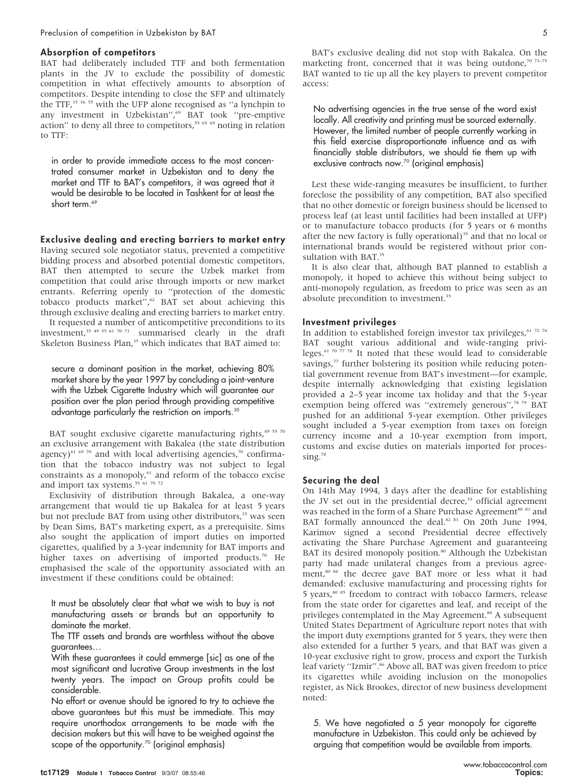## Absorption of competitors

BAT had deliberately included TTF and both fermentation plants in the JV to exclude the possibility of domestic competition in what effectively amounts to absorption of competitors. Despite intending to close the SFP and ultimately the TTF,<sup>35 36 55</sup> with the UFP alone recognised as "a lynchpin to any investment in Uzbekistan",<sup>69</sup> BAT took "pre-emptive action" to deny all three to competitors,<sup>55 65</sup> 69 noting in relation to TTF:

in order to provide immediate access to the most concentrated consumer market in Uzbekistan and to deny the market and TTF to BAT's competitors, it was agreed that it would be desirable to be located in Tashkent for at least the short term.<sup>69</sup>

#### Exclusive dealing and erecting barriers to market entry

Having secured sole negotiator status, prevented a competitive bidding process and absorbed potential domestic competitors, BAT then attempted to secure the Uzbek market from competition that could arise through imports or new market entrants. Referring openly to ''protection of the domestic tobacco products market",<sup>62</sup> BAT set about achieving this through exclusive dealing and erecting barriers to market entry. It requested a number of anticompetitive preconditions to its investment,35 49 55 61 70 71 summarised clearly in the draft Skeleton Business Plan,<sup>35</sup> which indicates that BAT aimed to:

secure a dominant position in the market, achieving 80% market share by the year 1997 by concluding a joint-venture with the Uzbek Cigarette Industry which will guarantee our position over the plan period through providing competitive advantage particularly the restriction on imports.<sup>35</sup>

BAT sought exclusive cigarette manufacturing rights,<sup>49 55 70</sup> an exclusive arrangement with Bakalea (the state distribution agency)<sup>61 69 70</sup> and with local advertising agencies,<sup>70</sup> confirmation that the tobacco industry was not subject to legal constraints as a monopoly, $61$  and reform of the tobacco excise and import tax systems.<sup>55 61 70 72</sup>

Exclusivity of distribution through Bakalea, a one-way arrangement that would tie up Bakalea for at least 5 years but not preclude BAT from using other distributors,<sup>35</sup> was seen by Dean Sims, BAT's marketing expert, as a prerequisite. Sims also sought the application of import duties on imported cigarettes, qualified by a 3-year indemnity for BAT imports and higher taxes on advertising of imported products.<sup>70</sup> He emphasised the scale of the opportunity associated with an investment if these conditions could be obtained:

It must be absolutely clear that what we wish to buy is not manufacturing assets or brands but an opportunity to dominate the market.

The TTF assets and brands are worthless without the above guarantees…

With these guarantees it could emmerge [sic] as one of the most significant and lucrative Group investments in the last twenty years. The impact on Group profits could be considerable.

No effort or avenue should be ignored to try to achieve the above guarantees but this must be immediate. This may require unorthodox arrangements to be made with the decision makers but this will have to be weighed against the scope of the opportunity.<sup>70</sup> (original emphasis)

BAT's exclusive dealing did not stop with Bakalea. On the marketing front, concerned that it was being outdone, $70 73-75$ BAT wanted to tie up all the key players to prevent competitor access:

No advertising agencies in the true sense of the word exist locally. All creativity and printing must be sourced externally. However, the limited number of people currently working in this field exercise disproportionate influence and as with financially stable distributors, we should tie them up with exclusive contracts now.70 (original emphasis)

Lest these wide-ranging measures be insufficient, to further foreclose the possibility of any competition, BAT also specified that no other domestic or foreign business should be licensed to process leaf (at least until facilities had been installed at UFP) or to manufacture tobacco products (for 5 years or 6 months after the new factory is fully operational)<sup>35</sup> and that no local or international brands would be registered without prior consultation with BAT.<sup>35</sup>

It is also clear that, although BAT planned to establish a monopoly, it hoped to achieve this without being subject to anti-monopoly regulation, as freedom to price was seen as an absolute precondition to investment.<sup>35</sup>

#### Investment privileges

In addition to established foreign investor tax privileges,  $61.72.76$ BAT sought various additional and wide-ranging privileges.<sup>61 70 77</sup> <sup>8</sup> It noted that these would lead to considerable savings,<sup>77</sup> further bolstering its position while reducing potential government revenue from BAT's investment—for example, despite internally acknowledging that existing legislation provided a 2–5 year income tax holiday and that the 5-year exemption being offered was "extremely generous",<sup>78</sup> BAT pushed for an additional 5-year exemption. Other privileges sought included a 5-year exemption from taxes on foreign currency income and a 10-year exemption from import, customs and excise duties on materials imported for processing.<sup>78</sup>

#### Securing the deal

On 14th May 1994, 3 days after the deadline for establishing the JV set out in the presidential decree,<sup>55</sup> official agreement was reached in the form of a Share Purchase Agreement<sup>80 81</sup> and BAT formally announced the deal.<sup>82 83</sup> On 20th June 1994, Karimov signed a second Presidential decree effectively activating the Share Purchase Agreement and guaranteeing BAT its desired monopoly position.<sup>80</sup> Although the Uzbekistan party had made unilateral changes from a previous agreement,<sup>80 84</sup> the decree gave BAT more or less what it had demanded: exclusive manufacturing and processing rights for 5 years,<sup>80 85</sup> freedom to contract with tobacco farmers, release from the state order for cigarettes and leaf, and receipt of the privileges contemplated in the May Agreement.<sup>80</sup> A subsequent United States Department of Agriculture report notes that with the import duty exemptions granted for 5 years, they were then also extended for a further 5 years, and that BAT was given a 10-year exclusive right to grow, process and export the Turkish leaf variety "Izmir".<sup>86</sup> Above all, BAT was given freedom to price its cigarettes while avoiding inclusion on the monopolies register, as Nick Brookes, director of new business development noted:

5. We have negotiated a 5 year monopoly for cigarette manufacture in Uzbekistan. This could only be achieved by arguing that competition would be available from imports.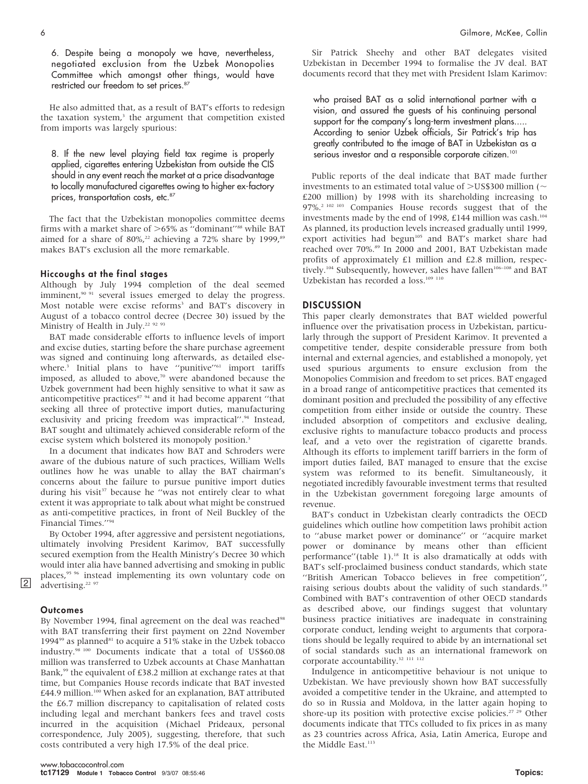6. Despite being a monopoly we have, nevertheless, negotiated exclusion from the Uzbek Monopolies Committee which amongst other things, would have restricted our freedom to set prices.<sup>87</sup>

He also admitted that, as a result of BAT's efforts to redesign the taxation system, $3$  the argument that competition existed from imports was largely spurious:

8. If the new level playing field tax regime is properly applied, cigarettes entering Uzbekistan from outside the CIS should in any event reach the market at a price disadvantage to locally manufactured cigarettes owing to higher ex-factory prices, transportation costs, etc.<sup>87</sup>

The fact that the Uzbekistan monopolies committee deems firms with a market share of  $>65\%$  as "dominant"<sup>88</sup> while BAT aimed for a share of  $80\%$ <sup>22</sup> achieving a 72% share by 1999,<sup>89</sup> makes BAT's exclusion all the more remarkable.

## Hiccoughs at the final stages

Although by July 1994 completion of the deal seemed imminent,<sup>90 91</sup> several issues emerged to delay the progress. Most notable were excise reforms<sup>3</sup> and BAT's discovery in August of a tobacco control decree (Decree 30) issued by the Ministry of Health in July.<sup>22 92 93</sup>

BAT made considerable efforts to influence levels of import and excise duties, starting before the share purchase agreement was signed and continuing long afterwards, as detailed elsewhere.<sup>3</sup> Initial plans to have "punitive"<sup>61</sup> import tariffs imposed, as alluded to above,<sup>70</sup> were abandoned because the Uzbek government had been highly sensitive to what it saw as anticompetitive practices $87.94$  and it had become apparent "that seeking all three of protective import duties, manufacturing exclusivity and pricing freedom was impractical".<sup>94</sup> Instead, BAT sought and ultimately achieved considerable reform of the excise system which bolstered its monopoly position.<sup>3</sup>

In a document that indicates how BAT and Schroders were aware of the dubious nature of such practices, William Wells outlines how he was unable to allay the BAT chairman's concerns about the failure to pursue punitive import duties during his visit<sup>37</sup> because he "was not entirely clear to what extent it was appropriate to talk about what might be construed as anti-competitive practices, in front of Neil Buckley of the Financial Times."<sup>9</sup>

By October 1994, after aggressive and persistent negotiations, ultimately involving President Karimov, BAT successfully secured exemption from the Health Ministry's Decree 30 which would inter alia have banned advertising and smoking in public places,<sup>95 96</sup> instead implementing its own voluntary code on  $\boxed{2}$  advertising.<sup>22 97</sup>

By November 1994, final agreement on the deal was reached<sup>98</sup> with BAT transferring their first payment on 22nd November 1994 $99$  as planned $81$  to acquire a 51% stake in the Uzbek tobacco industry.98 100 Documents indicate that a total of US\$60.08 million was transferred to Uzbek accounts at Chase Manhattan Bank,<sup>99</sup> the equivalent of £38.2 million at exchange rates at that time, but Companies House records indicate that BAT invested £44.9 million.100 When asked for an explanation, BAT attributed the £6.7 million discrepancy to capitalisation of related costs including legal and merchant bankers fees and travel costs incurred in the acquisition (Michael Prideaux, personal correspondence, July 2005), suggesting, therefore, that such costs contributed a very high 17.5% of the deal price.

Sir Patrick Sheehy and other BAT delegates visited Uzbekistan in December 1994 to formalise the JV deal. BAT documents record that they met with President Islam Karimov:

who praised BAT as a solid international partner with a vision, and assured the guests of his continuing personal support for the company's long-term investment plans..... According to senior Uzbek officials, Sir Patrick's trip has greatly contributed to the image of BAT in Uzbekistan as a serious investor and a responsible corporate citizen.<sup>101</sup>

Public reports of the deal indicate that BAT made further investments to an estimated total value of  $>$ US\$300 million ( $\sim$ £200 million) by 1998 with its shareholding increasing to 97%.2 102 103 Companies House records suggest that of the investments made by the end of 1998, £144 million was cash.<sup>104</sup> As planned, its production levels increased gradually until 1999, export activities had begun<sup>105</sup> and BAT's market share had reached over 70%.<sup>89</sup> In 2000 and 2001, BAT Uzbekistan made profits of approximately £1 million and £2.8 million, respectively.<sup>104</sup> Subsequently, however, sales have fallen<sup>106-108</sup> and BAT Uzbekistan has recorded a loss.<sup>109 110</sup>

#### **DISCUSSION**

This paper clearly demonstrates that BAT wielded powerful influence over the privatisation process in Uzbekistan, particularly through the support of President Karimov. It prevented a competitive tender, despite considerable pressure from both internal and external agencies, and established a monopoly, yet used spurious arguments to ensure exclusion from the Monopolies Commision and freedom to set prices. BAT engaged in a broad range of anticompetitive practices that cemented its dominant position and precluded the possibility of any effective competition from either inside or outside the country. These included absorption of competitors and exclusive dealing, exclusive rights to manufacture tobacco products and process leaf, and a veto over the registration of cigarette brands. Although its efforts to implement tariff barriers in the form of import duties failed, BAT managed to ensure that the excise system was reformed to its benefit. Simultaneously, it negotiated incredibly favourable investment terms that resulted in the Uzbekistan government foregoing large amounts of revenue.

BAT's conduct in Uzbekistan clearly contradicts the OECD guidelines which outline how competition laws prohibit action to ''abuse market power or dominance'' or ''acquire market power or dominance by means other than efficient performance"(table 1).<sup>18</sup> It is also dramatically at odds with BAT's self-proclaimed business conduct standards, which state ''British American Tobacco believes in free competition'', raising serious doubts about the validity of such standards.19 Combined with BAT's contravention of other OECD standards as described above, our findings suggest that voluntary business practice initiatives are inadequate in constraining corporate conduct, lending weight to arguments that corporations should be legally required to abide by an international set of social standards such as an international framework on corporate accountability.<sup>32 111</sup> <sup>112</sup>

Indulgence in anticompetitive behaviour is not unique to Uzbekistan. We have previously shown how BAT successfully avoided a competitive tender in the Ukraine, and attempted to do so in Russia and Moldova, in the latter again hoping to shore-up its position with protective excise policies.<sup>27</sup> <sup>29</sup> Other documents indicate that TTCs colluded to fix prices in as many as 23 countries across Africa, Asia, Latin America, Europe and the Middle East.<sup>113</sup>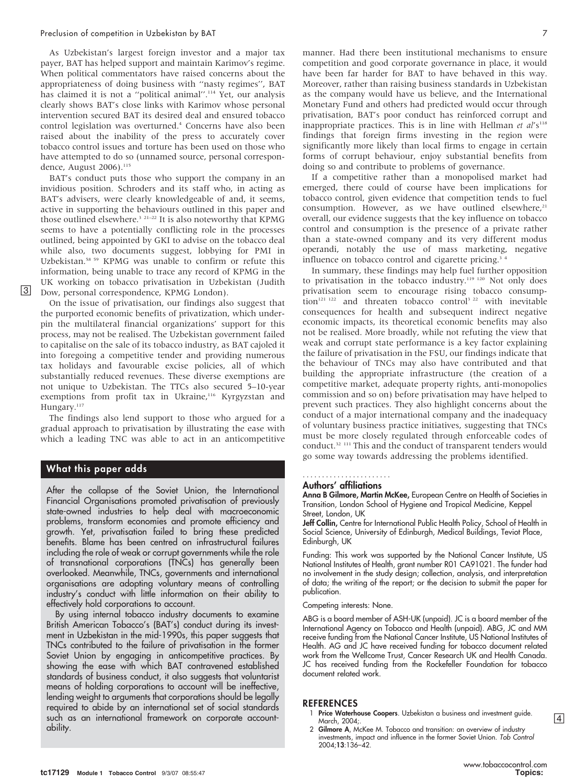As Uzbekistan's largest foreign investor and a major tax payer, BAT has helped support and maintain Karimov's regime. When political commentators have raised concerns about the appropriateness of doing business with ''nasty regimes'', BAT has claimed it is not a ''political animal''.114 Yet, our analysis clearly shows BAT's close links with Karimov whose personal intervention secured BAT its desired deal and ensured tobacco control legislation was overturned.<sup>4</sup> Concerns have also been raised about the inability of the press to accurately cover tobacco control issues and torture has been used on those who have attempted to do so (unnamed source, personal correspondence, August 2006).<sup>115</sup>

BAT's conduct puts those who support the company in an invidious position. Schroders and its staff who, in acting as BAT's advisers, were clearly knowledgeable of and, it seems, active in supporting the behaviours outlined in this paper and those outlined elsewhere.<sup>3</sup> <sup>21-22</sup> It is also noteworthy that KPMG seems to have a potentially conflicting role in the processes outlined, being appointed by GKI to advise on the tobacco deal while also, two documents suggest, lobbying for PMI in Uzbekistan.58 59 KPMG was unable to confirm or refute this information, being unable to trace any record of KPMG in the UK working on tobacco privatisation in Uzbekistan (Judith = Dow, personal correspondence, KPMG London).

On the issue of privatisation, our findings also suggest that the purported economic benefits of privatization, which underpin the multilateral financial organizations' support for this process, may not be realised. The Uzbekistan government failed to capitalise on the sale of its tobacco industry, as BAT cajoled it into foregoing a competitive tender and providing numerous tax holidays and favourable excise policies, all of which substantially reduced revenues. These diverse exemptions are not unique to Uzbekistan. The TTCs also secured 5–10-year exemptions from profit tax in Ukraine,<sup>116</sup> Kyrgyzstan and Hungary.<sup>117</sup>

The findings also lend support to those who argued for a gradual approach to privatisation by illustrating the ease with which a leading TNC was able to act in an anticompetitive

# What this paper adds

After the collapse of the Soviet Union, the International Financial Organisations promoted privatisation of previously state-owned industries to help deal with macroeconomic problems, transform economies and promote efficiency and growth. Yet, privatisation failed to bring these predicted benefits. Blame has been centred on infrastructural failures including the role of weak or corrupt governments while the role of transnational corporations (TNCs) has generally been overlooked. Meanwhile, TNCs, governments and international organisations are adopting voluntary means of controlling industry's conduct with little information on their ability to effectively hold corporations to account.

By using internal tobacco industry documents to examine British American Tobacco's (BAT's) conduct during its investment in Uzbekistan in the mid-1990s, this paper suggests that TNCs contributed to the failure of privatisation in the former Soviet Union by engaging in anticompetitive practices. By showing the ease with which BAT contravened established standards of business conduct, it also suggests that voluntarist means of holding corporations to account will be ineffective, lending weight to arguments that corporations should be legally required to abide by an international set of social standards such as an international framework on corporate accountability.

manner. Had there been institutional mechanisms to ensure competition and good corporate governance in place, it would have been far harder for BAT to have behaved in this way. Moreover, rather than raising business standards in Uzbekistan as the company would have us believe, and the International Monetary Fund and others had predicted would occur through privatisation, BAT's poor conduct has reinforced corrupt and inappropriate practices. This is in line with Hellman et  $al's<sup>118</sup>$ findings that foreign firms investing in the region were significantly more likely than local firms to engage in certain forms of corrupt behaviour, enjoy substantial benefits from doing so and contribute to problems of governance.

If a competitive rather than a monopolised market had emerged, there could of course have been implications for tobacco control, given evidence that competition tends to fuel consumption. However, as we have outlined elsewhere, $21$ overall, our evidence suggests that the key influence on tobacco control and consumption is the presence of a private rather than a state-owned company and its very different modus operandi, notably the use of mass marketing, negative influence on tobacco control and cigarette pricing.<sup>3</sup>

In summary, these findings may help fuel further opposition to privatisation in the tobacco industry.119 120 Not only does privatisation seem to encourage rising tobacco consumption<sup>121 122</sup> and threaten tobacco control<sup>3 22</sup> with inevitable consequences for health and subsequent indirect negative economic impacts, its theoretical economic benefits may also not be realised. More broadly, while not refuting the view that weak and corrupt state performance is a key factor explaining the failure of privatisation in the FSU, our findings indicate that the behaviour of TNCs may also have contributed and that building the appropriate infrastructure (the creation of a competitive market, adequate property rights, anti-monopolies commission and so on) before privatisation may have helped to prevent such practices. They also highlight concerns about the conduct of a major international company and the inadequacy of voluntary business practice initiatives, suggesting that TNCs must be more closely regulated through enforceable codes of conduct.32 111 This and the conduct of transparent tenders would go some way towards addressing the problems identified.

# .......................

Authors' affiliations

Anna B Gilmore, Martin McKee, European Centre on Health of Societies in Transition, London School of Hygiene and Tropical Medicine, Keppel Street, London, UK

Jeff Collin, Centre for International Public Health Policy, School of Health in Social Science, University of Edinburgh, Medical Buildings, Teviot Place, Edinburgh, UK

Funding: This work was supported by the National Cancer Institute, US National Institutes of Health, grant number R01 CA91021. The funder had no involvement in the study design; collection, analysis, and interpretation of data; the writing of the report; or the decision to submit the paper for publication.

Competing interests: None.

ABG is a board member of ASH-UK (unpaid). JC is a board member of the International Agency on Tobacco and Health (unpaid). ABG, JC and MM receive funding from the National Cancer Institute, US National Institutes of Health. AG and JC have received funding for tobacco document related work from the Wellcome Trust, Cancer Research UK and Health Canada. JC has received funding from the Rockefeller Foundation for tobacco document related work.

#### **REFERENCES**

- 1 **Price Waterhouse Coopers**. Uzbekistan a business and investment guide. **4**<br>March, 2004;.
- Gilmore A, McKee M. Tobacco and transition: an overview of industry investments, impact and influence in the former Soviet Union. Tob Control 2004;13:136–42.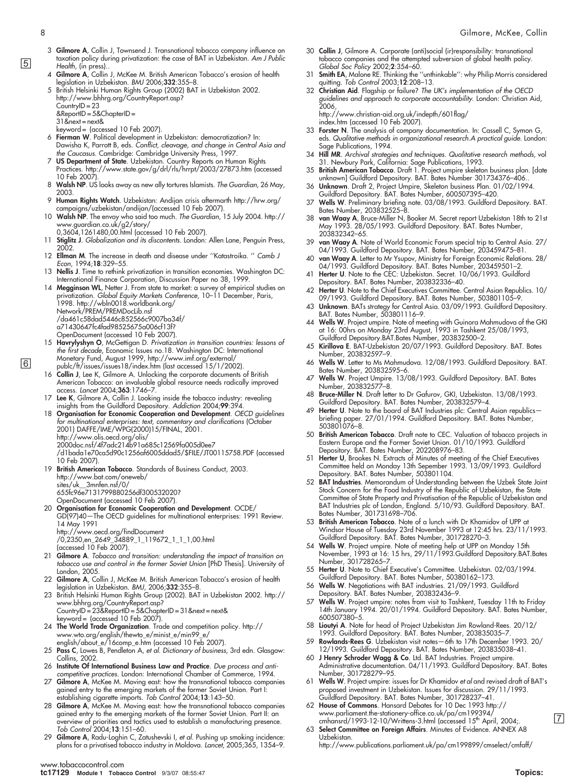- 
- 3 Gilmore A, Collin J, Townsend J. Transnational tobacco company influence on taxation policy during privatization: the case of BAT in Uzbekistan. Am J Public Health, (in press)..
	- 4 Gilmore A, Collin J, McKee M. British American Tobacco's erosion of health legislation in Uzbekistan. BMJ 2006;332:355–8.
	- 5 British Helsinki Human Rights Group (2002) BAT in Uzbekistan 2002. http://www.bhhrg.org/CountryReport.asp? CountryID = 23
		- &ReportID = 5&ChapterID =
		- 31&next = next&
		- keyword = (accessed 10 Feb 2007).
	- 6 Fierman W. Political development in Uzbekistan: democratization? In: Dawisha K, Parrott B, eds. Conflict, cleavage, and change in Central Asia and the Caucasus. Cambridge: Cambridge University Press, 1997.
	- 7 **US Department of State**. Uzbekistan. Country Reports on Human Rights Practices. http://www.state.gov/g/drl/rls/hrrpt/2003/27873.htm (accessed 10 Feb 2007).
	- 8 Walsh NP. US looks away as new ally tortures Islamists. The Guardian, 26 May, 2003.
	- 9 Human Rights Watch. Uzbekistan: Andijan crisis aftermarth http://hrw.org/ campaigns/uzbekistan/andijan/(accessed 10 Feb 2007).
	- 10 Walsh NP. The envoy who said too much. The Guardian, 15 July 2004. http:// www.guardian.co.uk/g2/story/
		- 0,3604,1261480,00.html (accessed 10 Feb 2007).
	- 11 Stiglitz J. Globalization and its discontents. London: Allen Lane, Penguin Press,  $2002$
	- 12 Ellman M. The increase in death and disease under "Katastroika. " Camb J Econ, 1994;18:329–55.
	- 13 Nellis J. Time to rethink privatization in transition economies. Washington DC: International Finance Corporation, Discussion Paper no 38, 1999.
	- 14 **Megginson WL**, Netter J. From state to market: a survey of empirical studies on privatization. Global Equity Markets Conference, 10–11 December, Paris, 1998. http://wbln0018.worldbank.org/ Network/PREM/PREMDocLib.nsf /da461c58dad5446c852566c9007ba34f/ a71430647fc4fad98525675a006cf13f?
		- OpenDocument (accessed 10 Feb 2007).
- 15 Havrylyshyn O, McGettigan D. Privatization in transition countries: lessons of the first decade, Economic Issues no.18. Washington DC: International Monetary Fund, August 1999, http://www.imf.org/external/ @ publc/ft/issues/issues18/index.htm (last accessed 15/1/2002).
	- 16 Collin J, Lee K, Gilmore A. Unlocking the corporate documents of British American Tobacco: an invaluable global resource needs radically improved<br>access. *Lancet* 2004;**363**:1746–7.
	- 17 Lee K, Gilmore A, Collin J. Looking inside the tobacco industry: revealing insights from the Guildford Depository. Addiction 2004;99:394.
	- 18 Organisation for Economic Cooperation and Development. OECD guidelines for multinational enterprises: text, commentary and clarifications (October 2001) DAFFE/IME/WPG(2000)15/FINAL, 2001.

http://www.olis.oecd.org/olis/

2000doc.nsf/4f7adc214b91a685c12569fa005d0ee7

/d1bada1e70ca5d90c1256af6005ddad5/\$FILE/JT00115758.PDF (accessed 10 Feb 2007).

- 19 British American Tobacco. Standards of Business Conduct, 2003. http://www.bat.com/oneweb/ sites/uk\_\_3mnfen.nsf/0/ 655fc96e7131799880256df300532020? OpenDocument (accessed 10 Feb 2007).
- 20 Organisation for Economic Cooperation and Development. OCDE/ GD(97)40—The OECD guidelines for multinational enterprises: 1991 Review. 14 May 1991 http://www.oecd.org/findDocument
	- /0,2350,en\_2649\_34889\_1\_119672\_1\_1\_1,00.html (accessed 10 Feb 2007).
- 21 Gilmore A. Tobacco and transition: understanding the impact of transition on tobacco use and control in the former Soviet Union [PhD Thesis]. University of London, 2005.
- Gilmore A, Collin J, McKee M. British American Tobacco's erosion of health legislation in Uzbekistan. BMJ, 2006;332:355-8.
- 23 British Helsinki Human Rights Group (2002). BAT in Uzbekistan 2002. http:// www.bhhrg.org/CountryReport.asp? CountryID = 23&ReportID = 5&ChapterID = 31&next = next&
- keyword = (accessed 10 Feb 2007). The World Trade Organization. Trade and competition policy. http:// www.wto.org/english/thewto\_e/minist\_e/min99\_e/ english/about\_e/16comp\_e.htm (accessed 10 Feb 2007).
- 25 Pass C, Lowes B, Pendleton A, et al. Dictionary of business, 3rd edn. Glasgow: Collins, 2002.
- Institute Of International Business Law and Practice. Due process and anticompetitive practices. London: International Chamber of Commerce, 1994
- Gilmore A, McKee M. Moving east: how the transnational tobacco companies gained entry to the emerging markets of the former Soviet Union. Part I: establishing cigarette imports. Tob Control 2004;13:143–50.
- 28 Gilmore A, McKee M. Moving east: how the transnational tobacco companies gained entry to the emerging markets of the former Soviet Union. Part II: an overview of priorities and tactics used to establish a manufacturing presence. Tob Control 2004;13:151–60.
- Gilmore A, Radu-Loghin C, Zatushevski I, et al. Pushing up smoking incidence: plans for a privatised tobacco industry in Moldova. Lancet, 2005;365, 1354–9.
- 30 Collin J, Gilmore A. Corporate (anti)social (ir)responsibility: transnational tobacco companies and the attempted subversion of global health policy. Global Soc Policy 2002;2:354–60.
- 31 Smith EA, Malone RE. Thinking the ''unthinkable'': why Philip Morris considered quitting. Tob Control 2003;12:208-13.
- 32 Christian Aid. Flagship or failure? The UK's implementation of the OECD guidelines and approach to corporate accountability. London: Christian Aid, 2006, http://www.christian-aid.org.uk/indepth/601flag/
	- index.htm (accessed 10 Feb 2007).
- 33 Forster N. The analysis of company documentation. In: Cassell C, Symon G, eds. Qualitative methods in organizational research.A practical guide. London: Sage Publications, 1994.
- 34 Hill MR. Archival strategies and techniques. Qualitative research methods, vol 31. Newbury Park, California: Sage Publications, 1993.
- 35 British American Tobacco. Draft 1. Project umpire skeleton business plan. [date unknown] Guildford Depository. BAT. Bates Number 301734376–406..
- 36 Unknown. Draft 2, Project Umpire, Skeleton business Plan. 01/02/1994. Guildford Depository. BAT. Bates Number, 600507395–420.
- 37 Wells W. Preliminary briefing note. 03/08/1993. Guildford Depository. BAT. Bates Number, 203832525–8.
- 38 van Waay A, Bruce-Miller N, Booker M. Secret report Uzbekistan 18th to 21st May 1993. 28/05/1993. Guildford Depository. BAT. Bates Number, 203832342–65.
- 39 van Waay A. Note of World Economic Forum special trip to Central Asia. 27/ 04/1993. Guildford Depository. BAT. Bates Number, 203459475–81.
- van Waay A. Letter to Mr Ysupov, Ministry for Foreign Economic Relations. 28/ 04/1993. Guildford Depository. BAT. Bates Number, 203459501–2.
- 41 **Herter U**. Note to the CEC: Uzbekistan. Secret. 10/06/1993. Guildford Depository. BAT. Bates Number, 203832336–40.
- 42 Herter U. Note to the Chief Executives Committee. Central Asian Republics. 10/ 09/1993. Guildford Depository. BAT. Bates Number, 503801105–9.
- 43 Unknown. BATs strategy for Central Asia. 03/09/1993. Guildford Depository. BAT. Bates Number, 503801116-9.
- 44 Wells W. Project umpire. Note of meeting with Guinora Mahmudova of the GKI at 16: 00hrs on Monday 23rd August, 1993 in Tashkent 25/08/1993, Guildford Depository.BAT.Bates Number, 203832500–2.
- 45 Kirillova E. BAT-Uzbekistan 20/07/1993. Guildford Depository. BAT. Bates Number, 203832597–9.
- Wells W. Letter to Ms Mahmudova. 12/08/1993. Guildford Depository. BAT. Bates Number, 203832595–6.
- 47 Wells W. Project Umpire. 13/08/1993. Guildford Depository. BAT. Bates Number, 203832577–8.
- Bruce-Miller N. Draft letter to Dr Gafurov, GKI, Uzbekistan. 13/08/1993. Guildford Depository. BAT. Bates Number, 203832579–4.
- 49 Herter U. Note to the board of BAT Industries plc: Central Asian republics briefing paper. 27/01/1994. Guildford Depository. BAT. Bates Number, 503801076–8.
- 50 British American Tobacco. Draft note to CEC. Valuation of tobacco projects in Eastern Europe and the Former Soviet Union. 01/10/1993. Guildford Depository. BAT. Bates Number, 202208976–83.
- 51 Herter U, Brookes N. Extracts of Minutes of meeting of the Chief Executives Committee held on Monday 13th Sepember 1993. 13/09/1993. Guildford Depository. BAT. Bates Number, 503801104.
- 52 BAT Industries. Memorandum of Understanding between the Uzbek State Joint Stock Concern for the Food Industry of the Republic of Uzbekistan, the State Committee of State Property and Privatisation of the Republic of Uzbekistan and BAT Industries plc of London, England. 5/10/93. Guildford Depository. BAT. Bates Number, 301731698–706.
- 53 British American Tobacco. Note of a lunch with Dr Khamidov of UPP at Windsor House of Tuesday 23rd November 1993 at 12:45 hrs. 23/11/1993. Guildford Depository. BAT. Bates Number, 301728270–3.
- 54 Wells W. Project umpire. Note of meeting help at UPP on Monday 15th November, 1993 at 16: 15 hrs, 29/11/1993.Guildford Depository.BAT.Bates Number, 301728265–7.
- 55 Herter U. Note to Chief Executive's Committee. Uzbekistan. 02/03/1994. Guildford Depository. BAT. Bates Number, 50380162–173.
- 56 Wells W. Negotiations with BAT industries. 21/09/1993. Guildford Depository. BAT. Bates Number, 203832436–9.
- 57 Wells W. Project umpire: notes from visit to Tashkent, Tuesday 11th to Friday 14th January 1994. 20/01/1994. Guildford Depository. BAT. Bates Number, 600507380–5.
- 58 Lioutyi A. Note for head of Project Uzbekistan Jim Rowland-Rees. 20/12/ 1993. Guildford Depository. BAT. Bates Number, 203835035–7.
- 59 Rowlands-Rees G. Uzbekistan visit notes—6th to 17th December 1993. 20/ 12/1993. Guildford Depository. BAT. Bates Number, 203835038–41.
- 60 J Henry Schroder Wagg & Co. Ltd. BAT Industries. Project umpire. Administrative documentation. 04/11/1993. Guildford Depository. BAT. Bates Number, 301728279–95.
- 61 Wells W. Project umpire: issues for Dr Khamidov et al and revised draft of BAT's proposed investment in Uzbekistan. Issues for discussion. 29/11/1993. Guildford Depository. BAT. Bates Number, 301728237–41.
- 62 House of Commons. Hansard Debates for 10 Dec 1993 http:// www.parliament.the-stationery-office.co.uk/pa/cm199394/ www.parilament.ine-signonery-onice.co.uk/pa/cm177374/<br>cmhansrd/1993-12-10/Writtens-3.html (accessed 15<sup>th</sup> April, 2004;.
- 63 Select Committee on Foreign Affairs. Minutes of Evidence. ANNEX A8 Uzbekistan.
	- http://www.publications.parliament.uk/pa/cm199899/cmselect/cmfaff/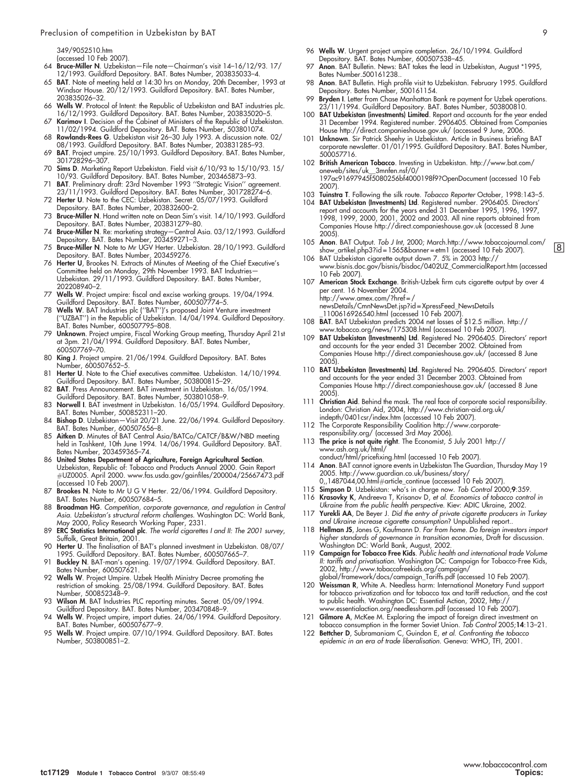#### Preclusion of competition in Uzbekistan by BAT 9

349/9052510.htm

(accessed 10 Feb 2007).

- 64 Bruce-Miller N. Uzbekistan—File note—Chairman's visit 14–16/12/93. 17/
- 12/1993. Guildford Depository. BAT. Bates Number, 203835033–4. 65 BAT. Note of meeting held at 14:30 hrs on Monday, 20th December, 1993 at Windsor House. 20/12/1993. Guildford Depository. BAT. Bates Number, 203835026–32.
- 66 Wells W. Protocol of Intent: the Republic of Uzbekistan and BAT industries plc. 16/12/1993. Guildford Depository. BAT. Bates Number, 203835020–5.
- 67 Karimov I. Decision of the Cabinet of Ministers of the Republic of Uzbekistan.
- 11/02/1994. Guildford Depository. BAT. Bates Number, 503801074. 68 Rowlands-Rees G. Uzbekistan visit 26–30 July 1993. A discussion note. 02/ 08/1993. Guildford Depository. BAT. Bates Number, 203831285–93.
- 69 BAT. Project umpire. 25/10/1993. Guildford Depository. BAT. Bates Number, 301728296–307.
- 70 Sims D. Marketing Report Uzbekistan. Field visit 6/10/93 to 15/10/93. 15/ 10/93. Guildford Depository. BAT. Bates Number, 203465873–93.
- 71 BAT. Preliminary draft: 23rd November 1993 ''Strategic Vision'' agreement. 23/11/1993. Guildford Depository. BAT. Bates Number, 301728274–6.
- 72 Herter U. Note to the CEC: Uzbekistan. Secret. 05/07/1993. Guildford Depository. BAT. Bates Number, 203832600–2.
- 73 Bruce-Miller N. Hand written note on Dean Sim's visit. 14/10/1993. Guildford
- Depository. BAT. Bates Number, 203831279–80.<br>74 Bruce-Miller N. Re: marketing strategy—Central Asia. 03/12/1993. Guildford Depository. BAT. Bates Number, 203459271–3.
- 75 Bruce-Miller N. Note to Mr UGV Herter. Uzbekistan. 28/10/1993. Guildford Depository. BAT. Bates Number, 203459276.
- 76 Herter U, Brookes N. Extracts of Minutes of Meeting of the Chief Executive's Committee held on Monday, 29th November 1993. BAT Industries— Uzbekistan. 29/11/1993. Guildford Depository. BAT. Bates Number, 202208940–2.
- 77 Wells W. Project umpire: fiscal and excise working groups. 19/04/1994. Guildford Depository. BAT. Bates Number, 600507774–5.
- Wells W. BAT Industries plc ("BAT")'s proposed Joint Venture investment (''UZBAT'') in the Republic of Uzbekistan. 14/04/1994. Guildford Depository. BAT. Bates Number, 600507795–808.
- Unknown. Project umpire, Fiscal Working Group meeting, Thursday April 21st at 3pm. 21/04/1994. Guildford Depository. BAT. Bates Number, 600507769–70.
- 80 King J. Project umpire. 21/06/1994. Guildford Depository. BAT. Bates Number, 600507652–5.
- Herter U. Note to the Chief executives committee. Uzbekistan. 14/10/1994. Guildford Depository. BAT. Bates Number, 503800815–29.
- 82 BAT. Press Announcement. BAT investment in Uzbekistan. 16/05/1994. Guildford Depository. BAT. Bates Number, 503801058–9.
- Norwell I. BAT investment in Uzbekistan. 16/05/1994. Guildford Depository. BAT. Bates Number, 500852311–20. 84 Bishop D. Uzbekistan-Visit 20/21 June. 22/06/1994. Guildford Depository.
- BAT. Bates Number, 600507656–8.
- Aitken D. Minutes of BAT Central Asia/BATCo/CATCF/B&W/NBD meeting held in Tashkent, 10th June 1994. 14/06/1994. Guildford Depository. BAT. Bates Number, 203459365–74.
- 86 United States Department of Agriculture, Foreign Agricultural Section. Uzbekistan, Republic of: Tobacco and Products Annual 2000. Gain Report #UZ0005. April 2000. www.fas.usda.gov/gainfiles/200004/25667473.pdf (accessed 10 Feb 2007).
- 87 Brookes N. Note to Mr U G V Herter. 22/06/1994. Guildford Depository. BAT. Bates Number, 600507684–5.
- 88 Broadman HG. Competition, corporate governance, and regulation in Central Asia. Uzbekistan's structural reform challenges. Washington DC: World Bank, May 2000, Policy Research Working Paper, 2331.<br>89 **ERC Statistics International plc**. *The world cigarettes I and II: The 2001 survey*,
- Suffolk, Great Britain, 2001.
- 90 Herter U. The finalisation of BAT's planned investment in Uzbekistan. 08/07/ 1995. Guildford Depository. BAT. Bates Number, 600507665–7.
- 91 Buckley N. BAT-man's opening. 19/07/1994. Guildford Depository. BAT. Bates Number, 600507621.
- 92 Wells W. Project Umpire. Uzbek Health Ministry Decree promoting the restriction of smoking. 25/08/1994. Guildford Depository. BAT. Bates Number, 500852348–9.
- Wilson M. BAT Industries PLC reporting minutes. Secret. 05/09/1994. Guildford Depository. BAT. Bates Number, 203470848–9.
- 94 Wells W. Project umpire, import duties. 24/06/1994. Guildford Depository. BAT. Bates Number, 600507677–9.
- 95 Wells W. Project umpire. 07/10/1994. Guildford Depository. BAT. Bates Number, 503800851–2.
- 96 Wells W. Urgent project umpire completion. 26/10/1994. Guildford Depository. BAT. Bates Number, 600507538–45.
- 97 Anon. BAT Bulletin. News: BAT takes the lead in Uzbekistan, August \*1995, Bates Number.500161238..
- 98 Anon. BAT Bulletin. High profile visit to Uzbekistan. February 1995. Guildford Depository. Bates Number, 500161154.
- Bryden I. Letter from Chase Manhattan Bank re payment for Uzbek operations. 23/11/1994. Guildford Depository. BAT. Bates Number, 503800810.
- 100 BAT Uzbekistan (investments) Limited. Report and accounts for the year ended 31 December 1994. Registered number. 2906405. Obtained from Companies House http://direct.companieshouse.gov.uk/ (accessed 9 June, 2006.
- 101 Unknown. Sir Patrick Sheehy in Uzbekistan. Article in Business briefing BAT corporate newsletter. 01/01/1995. Guildford Depository. BAT. Bates Number, 500057716.
- 102 British American Tobacco. Investing in Uzbekistan. http://www.bat.com/ oneweb/sites/uk\_\_3mnfen.nsf/0/ 197ac91697945f5080256bf4000198f9?OpenDocument (accessed 10 Feb 2007).
- 103 Tuinstra T. Following the silk route. Tobacco Reporter October, 1998:143-5.
- 104 BAT Uzbekistan (Investments) Ltd. Registered number. 2906405. Directors' report and accounts for the years ended 31 December 1995, 1996, 1997, 1998, 1999, 2000, 2001, 2002 and 2003. All nine reports obtained from Companies House http://direct.companieshouse.gov.uk (accessed 8 June 2005).
- 105 **Anon**. BAT Output. Tob J Int, 2000; March.http://www.tobaccojournal.com/<br>show\_artikel.php3?id = 1565&banner = etm1 (accessed 10 Feb 2007).
- 106 BAT Uzbekistan cigarette output down 7. 5% in 2003 http:// www.bisnis.doc.gov/bisnis/bisdoc/0402UZ\_CommercialReport.htm (accessed 10 Feb 2007).

107 American Stock Exchange. British-Uzbek firm cuts cigarette output by over 4 per cent. 16 November 2004. http://www.amex.com/?href= newsDetails/CmnNewsDet.jsp?id = XpressFeed\_NewsDetails \_1100616926540.html (accessed 10 Feb 2007).

- 108 BAT. BAT Uzbekistan predicts 2004 net losses of \$12.5 million. http:// www.tobacco.org/news/175308.html (accessed 10 Feb 2007).
- 109 BAT Uzbekistan (Investments) Ltd. Registered No. 2906405. Directors' report and accounts for the year ended 31 December 2002. Obtained from Companies House http://direct.companieshouse.gov.uk/ (accessed 8 June 2005).
- 110 BAT Uzbekistan (Investments) Ltd. Registered No. 2906405. Directors' report and accounts for the year ended 31 December 2003. Obtained from Companies House http://direct.companieshouse.gov.uk/ (accessed 8 June 2005).
- 111 Christian Aid. Behind the mask. The real face of corporate social responsibility. London: Christian Aid, 2004, http://www.christian-aid.org.uk/ indepth/0401csr/index.htm (accessed 10 Feb 2007).
- 112 The Corporate Responsibility Coalition http://www.corporateresponsibility.org/ (accessed 3rd May 2006).
- 113 The price is not quite right. The Economist, 5 July 2001 http:// www.ash.org.uk/html/
- conduct/html/pricefixing.html (accessed 10 Feb 2007). 114 Anon. BAT cannot ignore events in Uzbekistan The Guardian, Thursday May 19 2005. http://www.guardian.co.uk/business/story/ 0,,1487044,00.html#article\_continue (accessed 10 Feb 2007).
- 115 Simpson D. Uzbekistan: who's in charge now. Tob Control 2000;9:359.
- 116 Krasovky K, Andreeva T, Krisanov D, et al. Economics of tobacco control in
- Ukraine from the public health perspective. Kiev: ADIC Ukraine, 2002. 117 Yurekli AA, De Beyer J. Did the entry of private cigarette producers in Turkey
- and Ukraine increase cigarette consumption? Unpublished report..
- 118 Hellman JS, Jones G, Kaufmann D. Far from home. Do foreign investors import higher standards of governance in transition economies, Draft for discussion. Washington DC: World Bank, August, 2002.
- 119 Campaign for Tobacco Free Kids. Public health and international trade Volume II: tariffs and privatisation. Washington DC: Campaign for Tobacco-Free Kids, 2002, http://www.tobaccofreekids.org/campaign/ global/framework/docs/campaign\_Tariffs.pdf (accessed 10 Feb 2007).
- 120 Weissman R, White A. Needless harm: International Monetary Fund support for tobacco privatization and for tobacco tax and tariff reduction, and the cost to public health. Washington DC: Essential Action, 2002, http:// www.essentialaction.org/needlessharm.pdf (accessed 10 Feb 2007).
- 121 Gilmore A, McKee M. Exploring the impact of foreign direct investment on tobacco consumption in the former Soviet Union. Tob Control 2005;14:13–21.
- 122 **Bettcher D**, Subramaniam C, Guindon E, et al. Confronting the tobacco<br>epidemic in an era of trade liberalisation. Geneva: WHO, TFI, 2001.